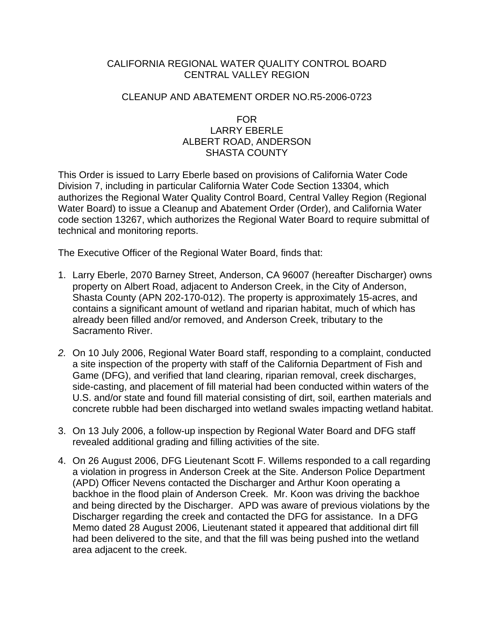# CALIFORNIA REGIONAL WATER QUALITY CONTROL BOARD CENTRAL VALLEY REGION

# CLEANUP AND ABATEMENT ORDER NO.R5-2006-0723

### FOR LARRY EBERLE ALBERT ROAD, ANDERSON SHASTA COUNTY

This Order is issued to Larry Eberle based on provisions of California Water Code Division 7, including in particular California Water Code Section 13304, which authorizes the Regional Water Quality Control Board, Central Valley Region (Regional Water Board) to issue a Cleanup and Abatement Order (Order), and California Water code section 13267, which authorizes the Regional Water Board to require submittal of technical and monitoring reports.

The Executive Officer of the Regional Water Board, finds that:

- 1. Larry Eberle, 2070 Barney Street, Anderson, CA 96007 (hereafter Discharger) owns property on Albert Road, adjacent to Anderson Creek, in the City of Anderson, Shasta County (APN 202-170-012). The property is approximately 15-acres, and contains a significant amount of wetland and riparian habitat, much of which has already been filled and/or removed, and Anderson Creek, tributary to the Sacramento River.
- *2.* On 10 July 2006, Regional Water Board staff, responding to a complaint, conducted a site inspection of the property with staff of the California Department of Fish and Game (DFG), and verified that land clearing, riparian removal, creek discharges, side-casting, and placement of fill material had been conducted within waters of the U.S. and/or state and found fill material consisting of dirt, soil, earthen materials and concrete rubble had been discharged into wetland swales impacting wetland habitat.
- 3. On 13 July 2006, a follow-up inspection by Regional Water Board and DFG staff revealed additional grading and filling activities of the site.
- 4. On 26 August 2006, DFG Lieutenant Scott F. Willems responded to a call regarding a violation in progress in Anderson Creek at the Site. Anderson Police Department (APD) Officer Nevens contacted the Discharger and Arthur Koon operating a backhoe in the flood plain of Anderson Creek. Mr. Koon was driving the backhoe and being directed by the Discharger. APD was aware of previous violations by the Discharger regarding the creek and contacted the DFG for assistance. In a DFG Memo dated 28 August 2006, Lieutenant stated it appeared that additional dirt fill had been delivered to the site, and that the fill was being pushed into the wetland area adjacent to the creek.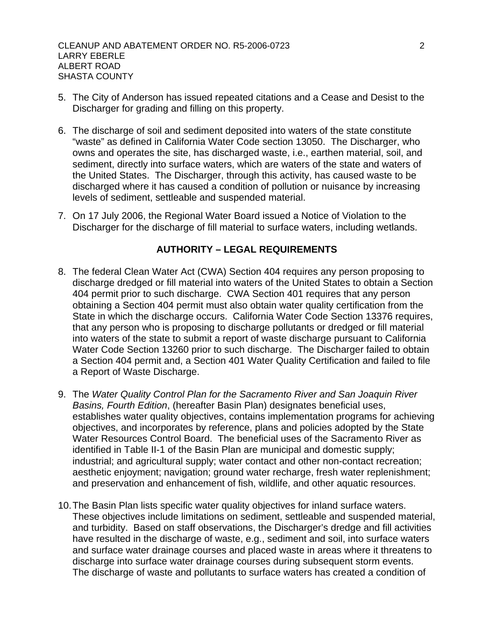- 5. The City of Anderson has issued repeated citations and a Cease and Desist to the Discharger for grading and filling on this property.
- 6. The discharge of soil and sediment deposited into waters of the state constitute "waste" as defined in California Water Code section 13050. The Discharger, who owns and operates the site, has discharged waste, i.e., earthen material, soil, and sediment, directly into surface waters, which are waters of the state and waters of the United States. The Discharger, through this activity, has caused waste to be discharged where it has caused a condition of pollution or nuisance by increasing levels of sediment, settleable and suspended material.
- 7. On 17 July 2006, the Regional Water Board issued a Notice of Violation to the Discharger for the discharge of fill material to surface waters, including wetlands.

# **AUTHORITY – LEGAL REQUIREMENTS**

- 8. The federal Clean Water Act (CWA) Section 404 requires any person proposing to discharge dredged or fill material into waters of the United States to obtain a Section 404 permit prior to such discharge. CWA Section 401 requires that any person obtaining a Section 404 permit must also obtain water quality certification from the State in which the discharge occurs. California Water Code Section 13376 requires, that any person who is proposing to discharge pollutants or dredged or fill material into waters of the state to submit a report of waste discharge pursuant to California Water Code Section 13260 prior to such discharge. The Discharger failed to obtain a Section 404 permit and, a Section 401 Water Quality Certification and failed to file a Report of Waste Discharge.
- 9. The *Water Quality Control Plan for the Sacramento River and San Joaquin River Basins, Fourth Edition*, (hereafter Basin Plan) designates beneficial uses, establishes water quality objectives, contains implementation programs for achieving objectives, and incorporates by reference, plans and policies adopted by the State Water Resources Control Board. The beneficial uses of the Sacramento River as identified in Table II-1 of the Basin Plan are municipal and domestic supply; industrial; and agricultural supply; water contact and other non-contact recreation; aesthetic enjoyment; navigation; ground water recharge, fresh water replenishment; and preservation and enhancement of fish, wildlife, and other aquatic resources.
- 10. The Basin Plan lists specific water quality objectives for inland surface waters. These objectives include limitations on sediment, settleable and suspended material, and turbidity. Based on staff observations, the Discharger's dredge and fill activities have resulted in the discharge of waste, e.g., sediment and soil, into surface waters and surface water drainage courses and placed waste in areas where it threatens to discharge into surface water drainage courses during subsequent storm events. The discharge of waste and pollutants to surface waters has created a condition of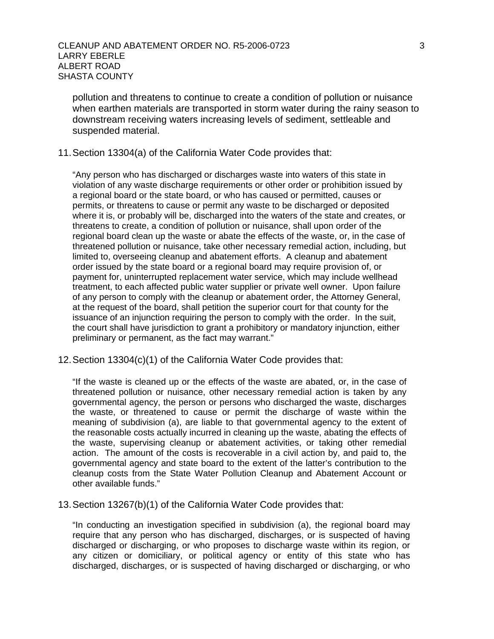pollution and threatens to continue to create a condition of pollution or nuisance when earthen materials are transported in storm water during the rainy season to downstream receiving waters increasing levels of sediment, settleable and suspended material.

#### 11. Section 13304(a) of the California Water Code provides that:

"Any person who has discharged or discharges waste into waters of this state in violation of any waste discharge requirements or other order or prohibition issued by a regional board or the state board, or who has caused or permitted, causes or permits, or threatens to cause or permit any waste to be discharged or deposited where it is, or probably will be, discharged into the waters of the state and creates, or threatens to create, a condition of pollution or nuisance, shall upon order of the regional board clean up the waste or abate the effects of the waste, or, in the case of threatened pollution or nuisance, take other necessary remedial action, including, but limited to, overseeing cleanup and abatement efforts. A cleanup and abatement order issued by the state board or a regional board may require provision of, or payment for, uninterrupted replacement water service, which may include wellhead treatment, to each affected public water supplier or private well owner. Upon failure of any person to comply with the cleanup or abatement order, the Attorney General, at the request of the board, shall petition the superior court for that county for the issuance of an injunction requiring the person to comply with the order. In the suit, the court shall have jurisdiction to grant a prohibitory or mandatory injunction, either preliminary or permanent, as the fact may warrant."

#### 12. Section 13304(c)(1) of the California Water Code provides that:

"If the waste is cleaned up or the effects of the waste are abated, or, in the case of threatened pollution or nuisance, other necessary remedial action is taken by any governmental agency, the person or persons who discharged the waste, discharges the waste, or threatened to cause or permit the discharge of waste within the meaning of subdivision (a), are liable to that governmental agency to the extent of the reasonable costs actually incurred in cleaning up the waste, abating the effects of the waste, supervising cleanup or abatement activities, or taking other remedial action. The amount of the costs is recoverable in a civil action by, and paid to, the governmental agency and state board to the extent of the latter's contribution to the cleanup costs from the State Water Pollution Cleanup and Abatement Account or other available funds."

#### 13. Section 13267(b)(1) of the California Water Code provides that:

"In conducting an investigation specified in subdivision (a), the regional board may require that any person who has discharged, discharges, or is suspected of having discharged or discharging, or who proposes to discharge waste within its region, or any citizen or domiciliary, or political agency or entity of this state who has discharged, discharges, or is suspected of having discharged or discharging, or who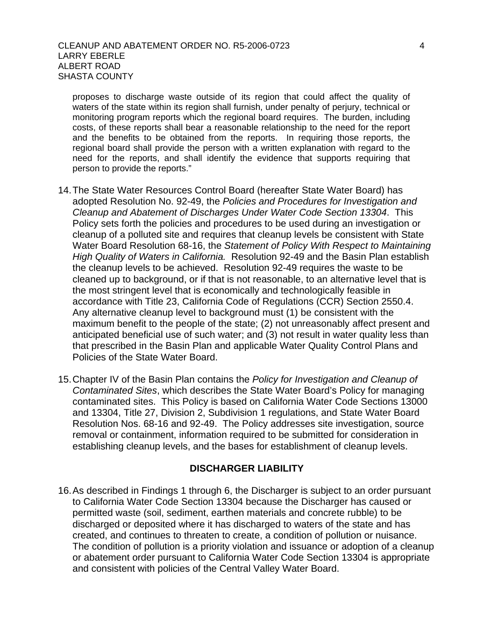proposes to discharge waste outside of its region that could affect the quality of waters of the state within its region shall furnish, under penalty of perjury, technical or monitoring program reports which the regional board requires. The burden, including costs, of these reports shall bear a reasonable relationship to the need for the report and the benefits to be obtained from the reports. In requiring those reports, the regional board shall provide the person with a written explanation with regard to the need for the reports, and shall identify the evidence that supports requiring that person to provide the reports."

- 14. The State Water Resources Control Board (hereafter State Water Board) has adopted Resolution No. 92-49, the *Policies and Procedures for Investigation and Cleanup and Abatement of Discharges Under Water Code Section 13304*. This Policy sets forth the policies and procedures to be used during an investigation or cleanup of a polluted site and requires that cleanup levels be consistent with State Water Board Resolution 68-16, the *Statement of Policy With Respect to Maintaining High Quality of Waters in California.* Resolution 92-49 and the Basin Plan establish the cleanup levels to be achieved. Resolution 92-49 requires the waste to be cleaned up to background, or if that is not reasonable, to an alternative level that is the most stringent level that is economically and technologically feasible in accordance with Title 23, California Code of Regulations (CCR) Section 2550.4. Any alternative cleanup level to background must (1) be consistent with the maximum benefit to the people of the state; (2) not unreasonably affect present and anticipated beneficial use of such water; and (3) not result in water quality less than that prescribed in the Basin Plan and applicable Water Quality Control Plans and Policies of the State Water Board.
- 15. Chapter IV of the Basin Plan contains the *Policy for Investigation and Cleanup of Contaminated Sites*, which describes the State Water Board's Policy for managing contaminated sites. This Policy is based on California Water Code Sections 13000 and 13304, Title 27, Division 2, Subdivision 1 regulations, and State Water Board Resolution Nos. 68-16 and 92-49. The Policy addresses site investigation, source removal or containment, information required to be submitted for consideration in establishing cleanup levels, and the bases for establishment of cleanup levels.

### **DISCHARGER LIABILITY**

16. As described in Findings 1 through 6, the Discharger is subject to an order pursuant to California Water Code Section 13304 because the Discharger has caused or permitted waste (soil, sediment, earthen materials and concrete rubble) to be discharged or deposited where it has discharged to waters of the state and has created, and continues to threaten to create, a condition of pollution or nuisance. The condition of pollution is a priority violation and issuance or adoption of a cleanup or abatement order pursuant to California Water Code Section 13304 is appropriate and consistent with policies of the Central Valley Water Board.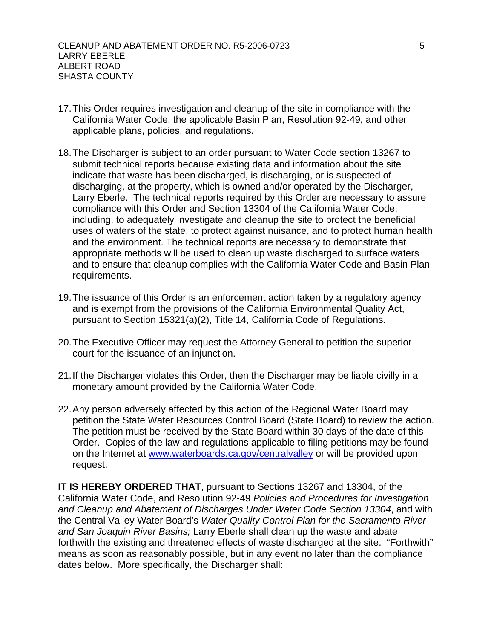- 17. This Order requires investigation and cleanup of the site in compliance with the California Water Code, the applicable Basin Plan, Resolution 92-49, and other applicable plans, policies, and regulations.
- 18. The Discharger is subject to an order pursuant to Water Code section 13267 to submit technical reports because existing data and information about the site indicate that waste has been discharged, is discharging, or is suspected of discharging, at the property, which is owned and/or operated by the Discharger, Larry Eberle. The technical reports required by this Order are necessary to assure compliance with this Order and Section 13304 of the California Water Code, including, to adequately investigate and cleanup the site to protect the beneficial uses of waters of the state, to protect against nuisance, and to protect human health and the environment. The technical reports are necessary to demonstrate that appropriate methods will be used to clean up waste discharged to surface waters and to ensure that cleanup complies with the California Water Code and Basin Plan requirements.
- 19. The issuance of this Order is an enforcement action taken by a regulatory agency and is exempt from the provisions of the California Environmental Quality Act, pursuant to Section 15321(a)(2), Title 14, California Code of Regulations.
- 20. The Executive Officer may request the Attorney General to petition the superior court for the issuance of an injunction.
- 21. If the Discharger violates this Order, then the Discharger may be liable civilly in a monetary amount provided by the California Water Code.
- 22. Any person adversely affected by this action of the Regional Water Board may petition the State Water Resources Control Board (State Board) to review the action. The petition must be received by the State Board within 30 days of the date of this Order. Copies of the law and regulations applicable to filing petitions may be found on the Internet at [www.waterboards.ca.gov/centralvalley](http://www.waterboards.ca.gov/centralvalley) or will be provided upon request.

**IT IS HEREBY ORDERED THAT**, pursuant to Sections 13267 and 13304, of the California Water Code, and Resolution 92-49 *Policies and Procedures for Investigation and Cleanup and Abatement of Discharges Under Water Code Section 13304*, and with the Central Valley Water Board's *Water Quality Control Plan for the Sacramento River and San Joaquin River Basins;* Larry Eberle shall clean up the waste and abate forthwith the existing and threatened effects of waste discharged at the site. "Forthwith" means as soon as reasonably possible, but in any event no later than the compliance dates below. More specifically, the Discharger shall: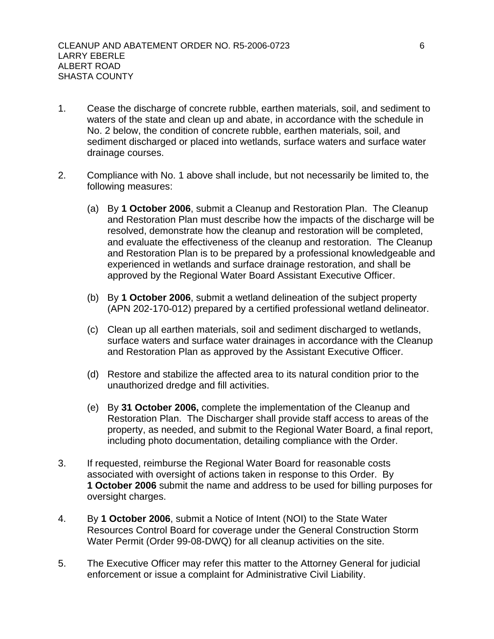- 1. Cease the discharge of concrete rubble, earthen materials, soil, and sediment to waters of the state and clean up and abate, in accordance with the schedule in No. 2 below, the condition of concrete rubble, earthen materials, soil, and sediment discharged or placed into wetlands, surface waters and surface water drainage courses.
- 2. Compliance with No. 1 above shall include, but not necessarily be limited to, the following measures:
	- (a) By **1 October 2006**, submit a Cleanup and Restoration Plan. The Cleanup and Restoration Plan must describe how the impacts of the discharge will be resolved, demonstrate how the cleanup and restoration will be completed, and evaluate the effectiveness of the cleanup and restoration. The Cleanup and Restoration Plan is to be prepared by a professional knowledgeable and experienced in wetlands and surface drainage restoration, and shall be approved by the Regional Water Board Assistant Executive Officer.
	- (b) By **1 October 2006**, submit a wetland delineation of the subject property (APN 202-170-012) prepared by a certified professional wetland delineator.
	- (c) Clean up all earthen materials, soil and sediment discharged to wetlands, surface waters and surface water drainages in accordance with the Cleanup and Restoration Plan as approved by the Assistant Executive Officer.
	- (d) Restore and stabilize the affected area to its natural condition prior to the unauthorized dredge and fill activities.
	- (e) By **31 October 2006,** complete the implementation of the Cleanup and Restoration Plan. The Discharger shall provide staff access to areas of the property, as needed, and submit to the Regional Water Board, a final report, including photo documentation, detailing compliance with the Order.
- 3. If requested, reimburse the Regional Water Board for reasonable costs associated with oversight of actions taken in response to this Order. By **1 October 2006** submit the name and address to be used for billing purposes for oversight charges.
- 4. By **1 October 2006**, submit a Notice of Intent (NOI) to the State Water Resources Control Board for coverage under the General Construction Storm Water Permit (Order 99-08-DWQ) for all cleanup activities on the site.
- 5. The Executive Officer may refer this matter to the Attorney General for judicial enforcement or issue a complaint for Administrative Civil Liability.